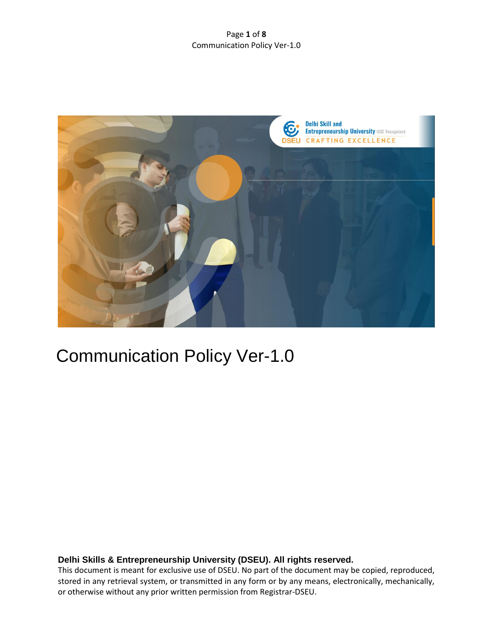## Page **1** of **8** Communication Policy Ver-1.0



# Communication Policy Ver-1.0

# **Delhi Skills & Entrepreneurship University (DSEU). All rights reserved.**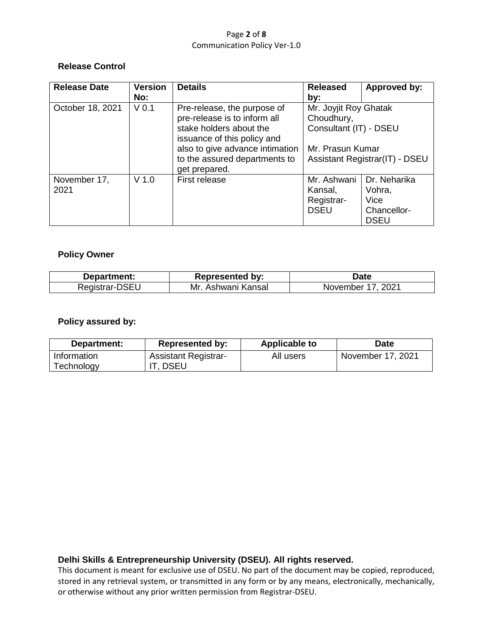### Page **2** of **8** Communication Policy Ver-1.0

# **Release Control**

| <b>Release Date</b> | <b>Version</b>   | <b>Details</b>                                         | <b>Released</b>                                                                                                            | Approved by: |
|---------------------|------------------|--------------------------------------------------------|----------------------------------------------------------------------------------------------------------------------------|--------------|
|                     | No:              |                                                        | by:                                                                                                                        |              |
| October 18, 2021    | V <sub>0.1</sub> | Pre-release, the purpose of                            | Mr. Joyjit Roy Ghatak<br>Choudhury,<br>Consultant (IT) - DSEU<br>Mr. Prasun Kumar<br><b>Assistant Registrar(IT) - DSEU</b> |              |
|                     |                  | pre-release is to inform all                           |                                                                                                                            |              |
|                     |                  | stake holders about the<br>issuance of this policy and |                                                                                                                            |              |
|                     |                  | also to give advance intimation                        |                                                                                                                            |              |
|                     |                  | to the assured departments to<br>get prepared.         |                                                                                                                            |              |
| November 17,        | $V$ 1.0          | First release                                          | Mr. Ashwani                                                                                                                | Dr. Neharika |
| 2021                |                  |                                                        | Kansal,                                                                                                                    | Vohra,       |
|                     |                  |                                                        | Registrar-                                                                                                                 | Vice         |
|                     |                  |                                                        | <b>DSEU</b>                                                                                                                | Chancellor-  |
|                     |                  |                                                        |                                                                                                                            | <b>DSEU</b>  |

# **Policy Owner**

| Department: | <b>Represented by:</b> | ⊅ate             |
|-------------|------------------------|------------------|
| Registrar-L | Mr.<br>Ashwani Kansal  | 2021<br>November |

# **Policy assured by:**

| Department: | <b>Represented by:</b>      | <b>Applicable to</b> | <b>Date</b>       |
|-------------|-----------------------------|----------------------|-------------------|
| Information | <b>Assistant Registrar-</b> | All users            | November 17, 2021 |
| Technology  | , DSEU                      |                      |                   |

# **Delhi Skills & Entrepreneurship University (DSEU). All rights reserved.**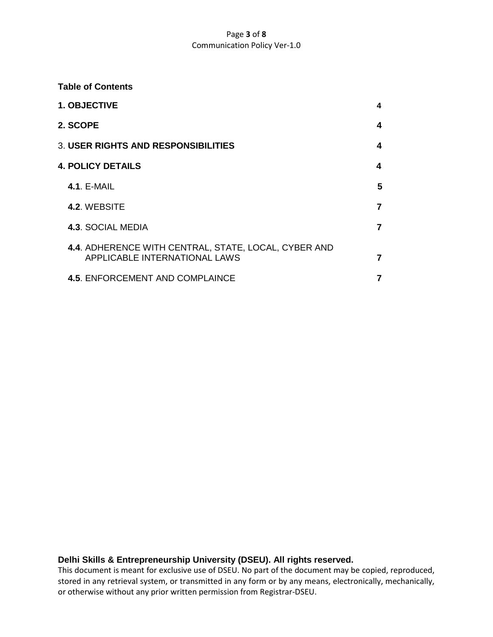## Page **3** of **8** Communication Policy Ver-1.0

## **Table of Contents**

| 1. OBJECTIVE                                                                                 | 4              |
|----------------------------------------------------------------------------------------------|----------------|
| 2. SCOPE                                                                                     | 4              |
| <b>3. USER RIGHTS AND RESPONSIBILITIES</b>                                                   | 4              |
| <b>4. POLICY DETAILS</b>                                                                     | 4              |
| <b>4.1. E-MAIL</b>                                                                           | 5              |
| 4.2. WEBSITE                                                                                 | $\overline{7}$ |
| <b>4.3. SOCIAL MEDIA</b>                                                                     | 7              |
| 4.4. ADHERENCE WITH CENTRAL, STATE, LOCAL, CYBER AND<br><b>APPLICABLE INTERNATIONAL LAWS</b> | 7              |
| <b>4.5. ENFORCEMENT AND COMPLAINCE</b>                                                       | 7              |

# **Delhi Skills & Entrepreneurship University (DSEU). All rights reserved.**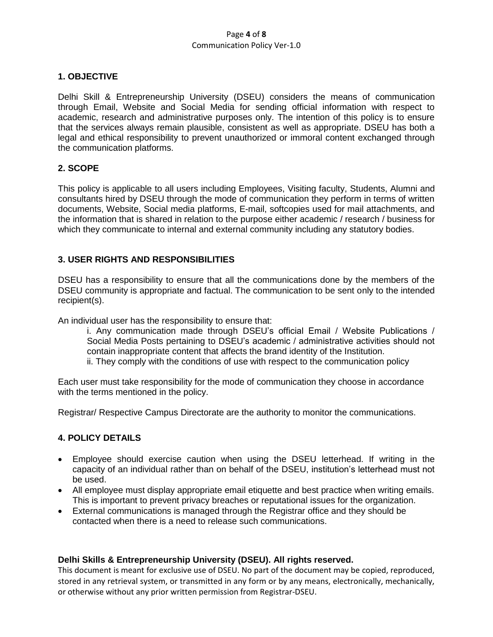#### Page **4** of **8** Communication Policy Ver-1.0

## **1. OBJECTIVE**

Delhi Skill & Entrepreneurship University (DSEU) considers the means of communication through Email, Website and Social Media for sending official information with respect to academic, research and administrative purposes only. The intention of this policy is to ensure that the services always remain plausible, consistent as well as appropriate. DSEU has both a legal and ethical responsibility to prevent unauthorized or immoral content exchanged through the communication platforms.

# **2. SCOPE**

This policy is applicable to all users including Employees, Visiting faculty, Students, Alumni and consultants hired by DSEU through the mode of communication they perform in terms of written documents, Website, Social media platforms, E-mail, softcopies used for mail attachments, and the information that is shared in relation to the purpose either academic / research / business for which they communicate to internal and external community including any statutory bodies.

# **3. USER RIGHTS AND RESPONSIBILITIES**

DSEU has a responsibility to ensure that all the communications done by the members of the DSEU community is appropriate and factual. The communication to be sent only to the intended recipient(s).

An individual user has the responsibility to ensure that:

i. Any communication made through DSEU's official Email / Website Publications / Social Media Posts pertaining to DSEU's academic / administrative activities should not contain inappropriate content that affects the brand identity of the Institution. ii. They comply with the conditions of use with respect to the communication policy

Each user must take responsibility for the mode of communication they choose in accordance with the terms mentioned in the policy.

Registrar/ Respective Campus Directorate are the authority to monitor the communications.

# **4. POLICY DETAILS**

- Employee should exercise caution when using the DSEU letterhead. If writing in the capacity of an individual rather than on behalf of the DSEU, institution's letterhead must not be used.
- All employee must display appropriate email etiquette and best practice when writing emails. This is important to prevent privacy breaches or reputational issues for the organization.
- External communications is managed through the Registrar office and they should be contacted when there is a need to release such communications.

#### **Delhi Skills & Entrepreneurship University (DSEU). All rights reserved.**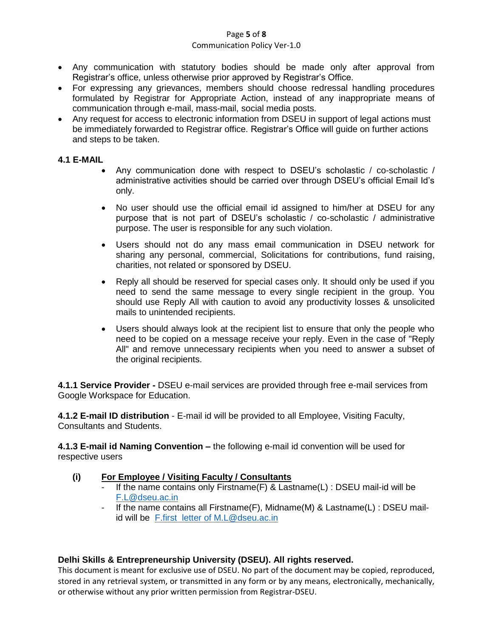#### Page **5** of **8**

#### Communication Policy Ver-1.0

- Any communication with statutory bodies should be made only after approval from Registrar's office, unless otherwise prior approved by Registrar's Office.
- For expressing any grievances, members should choose redressal handling procedures formulated by Registrar for Appropriate Action, instead of any inappropriate means of communication through e-mail, mass-mail, social media posts.
- Any request for access to electronic information from DSEU in support of legal actions must be immediately forwarded to Registrar office. Registrar's Office will guide on further actions and steps to be taken.

# **4.1 E-MAIL**

- Any communication done with respect to DSEU's scholastic / co-scholastic / administrative activities should be carried over through DSEU's official Email Id's only.
- No user should use the official email id assigned to him/her at DSEU for any purpose that is not part of DSEU's scholastic / co-scholastic / administrative purpose. The user is responsible for any such violation.
- Users should not do any mass email communication in DSEU network for sharing any personal, commercial, Solicitations for contributions, fund raising, charities, not related or sponsored by DSEU.
- Reply all should be reserved for special cases only. It should only be used if you need to send the same message to every single recipient in the group. You should use Reply All with caution to avoid any productivity losses & unsolicited mails to unintended recipients.
- Users should always look at the recipient list to ensure that only the people who need to be copied on a message receive your reply. Even in the case of "Reply All" and remove unnecessary recipients when you need to answer a subset of the original recipients.

**4.1.1 Service Provider -** DSEU e-mail services are provided through free e-mail services from Google Workspace for Education.

**4.1.2 E-mail ID distribution** - E-mail id will be provided to all Employee, Visiting Faculty, Consultants and Students.

**4.1.3 E-mail id Naming Convention –** the following e-mail id convention will be used for respective users

# **(i) For Employee / Visiting Faculty / Consultants**

- If the name contains only Firstname(F) & Lastname(L) : DSEU mail-id will be [F.L@dseu.ac.in](mailto:F.L@dseu.ac.in)
- If the name contains all Firstname(F), Midname(M) & Lastname(L) : DSEU mailid will be [F.first letter of M.L@dseu.ac.in](mailto:F.first%20%20letter%20of%20M.L@dseu.ac.in)

# **Delhi Skills & Entrepreneurship University (DSEU). All rights reserved.**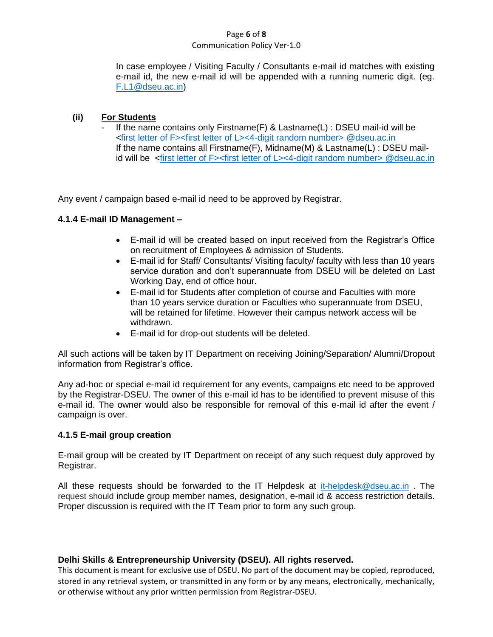## Page **6** of **8**

## Communication Policy Ver-1.0

In case employee / Visiting Faculty / Consultants e-mail id matches with existing e-mail id, the new e-mail id will be appended with a running numeric digit. (eg. [F.L1@dseu.ac.in\)](mailto:F.L1@dseu.ac.in)

# **(ii) For Students**

If the name contains only Firstname(F)  $&$  Lastname(L) : DSEU mail-id will be <first letter of F><first letter [of L><4-digit random number> @dseu.ac.in](mailto:F-%20first%20char%3e%3cL-first%20letter%3eastname@dseu.ac.in) If the name contains all Firstname(F), Midname(M) & Lastname(L) : DSEU mailid will be <first letter of F><first letter [of L><4-digit random number> @dseu.ac.in](mailto:F-%20first%20char%3e%3cL-first%20letter%3eastname@dseu.ac.in)

Any event / campaign based e-mail id need to be approved by Registrar.

# **4.1.4 E-mail ID Management –**

- E-mail id will be created based on input received from the Registrar's Office on recruitment of Employees & admission of Students.
- E-mail id for Staff/ Consultants/ Visiting faculty/ faculty with less than 10 years service duration and don't superannuate from DSEU will be deleted on Last Working Day, end of office hour.
- E-mail id for Students after completion of course and Faculties with more than 10 years service duration or Faculties who superannuate from DSEU, will be retained for lifetime. However their campus network access will be withdrawn.
- E-mail id for drop-out students will be deleted.

All such actions will be taken by IT Department on receiving Joining/Separation/ Alumni/Dropout information from Registrar's office.

Any ad-hoc or special e-mail id requirement for any events, campaigns etc need to be approved by the Registrar-DSEU. The owner of this e-mail id has to be identified to prevent misuse of this e-mail id. The owner would also be responsible for removal of this e-mail id after the event / campaign is over.

# **4.1.5 E-mail group creation**

E-mail group will be created by IT Department on receipt of any such request duly approved by Registrar.

All these requests should be forwarded to the IT Helpdesk at [it-helpdesk@dseu.ac.in](mailto:it-helpdesk@dseu.ac.in) . The request should include group member names, designation, e-mail id & access restriction details. Proper discussion is required with the IT Team prior to form any such group.

# **Delhi Skills & Entrepreneurship University (DSEU). All rights reserved.**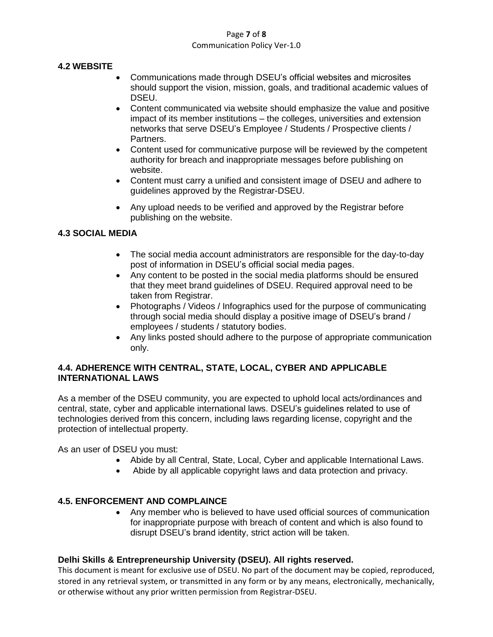## Page **7** of **8** Communication Policy Ver-1.0

# **4.2 WEBSITE**

- Communications made through DSEU's official websites and microsites should support the vision, mission, goals, and traditional academic values of DSEU.
- Content communicated via website should emphasize the value and positive impact of its member institutions – the colleges, universities and extension networks that serve DSEU's Employee / Students / Prospective clients / Partners.
- Content used for communicative purpose will be reviewed by the competent authority for breach and inappropriate messages before publishing on website.
- Content must carry a unified and consistent image of DSEU and adhere to guidelines approved by the Registrar-DSEU.
- Any upload needs to be verified and approved by the Registrar before publishing on the website.

# **4.3 SOCIAL MEDIA**

- The social media account administrators are responsible for the day-to-day post of information in DSEU's official social media pages.
- Any content to be posted in the social media platforms should be ensured that they meet brand guidelines of DSEU. Required approval need to be taken from Registrar.
- Photographs / Videos / Infographics used for the purpose of communicating through social media should display a positive image of DSEU's brand / employees / students / statutory bodies.
- Any links posted should adhere to the purpose of appropriate communication only.

# **4.4. ADHERENCE WITH CENTRAL, STATE, LOCAL, CYBER AND APPLICABLE INTERNATIONAL LAWS**

As a member of the DSEU community, you are expected to uphold local acts/ordinances and central, state, cyber and applicable international laws. DSEU's guidelines related to use of technologies derived from this concern, including laws regarding license, copyright and the protection of intellectual property.

As an user of DSEU you must:

- Abide by all Central, State, Local, Cyber and applicable International Laws.
- Abide by all applicable copyright laws and data protection and privacy.

# **4.5. ENFORCEMENT AND COMPLAINCE**

 Any member who is believed to have used official sources of communication for inappropriate purpose with breach of content and which is also found to disrupt DSEU's brand identity, strict action will be taken.

# **Delhi Skills & Entrepreneurship University (DSEU). All rights reserved.**